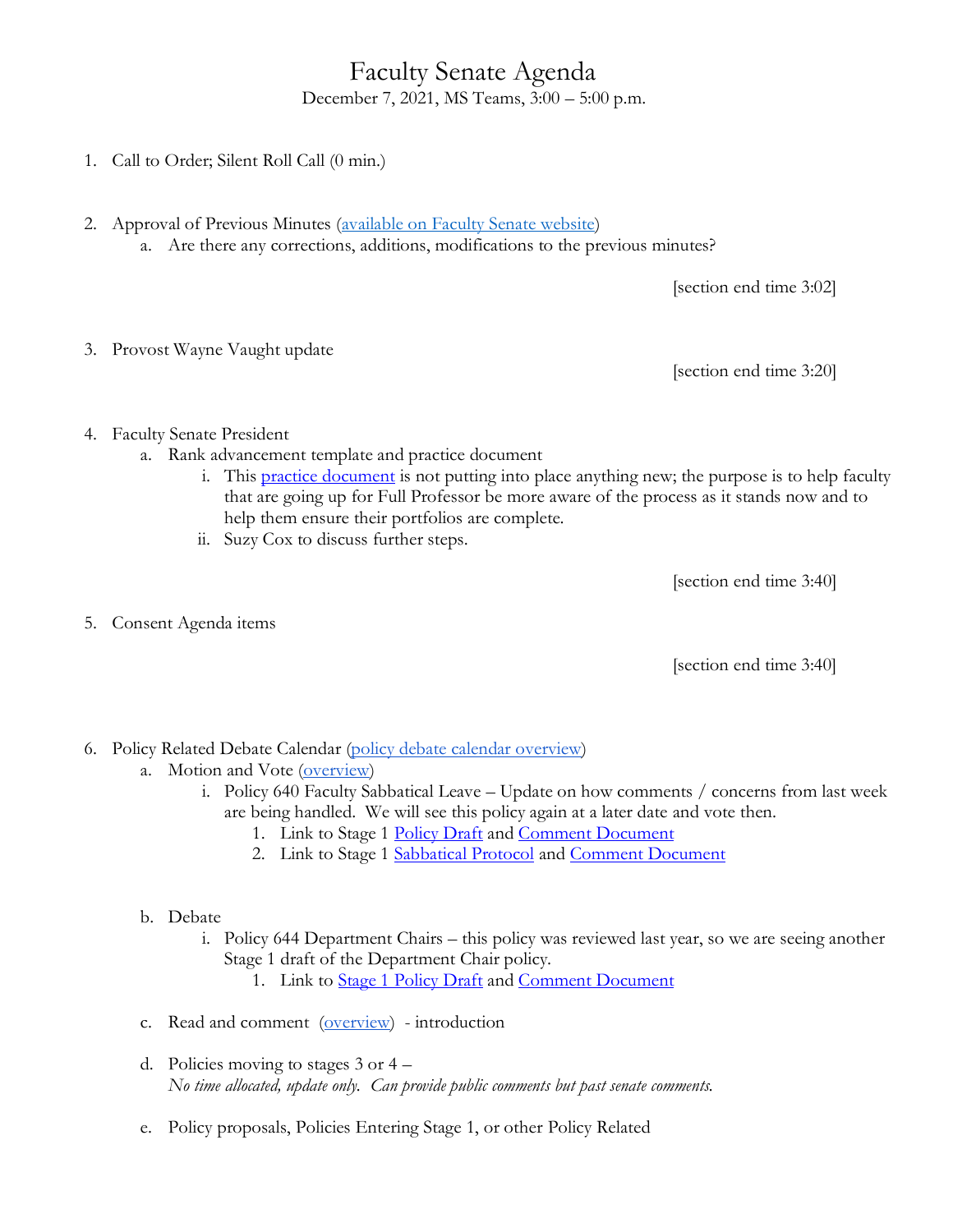## Faculty Senate Agenda December 7, 2021, MS Teams, 3:00 – 5:00 p.m.

- 1. Call to Order; Silent Roll Call (0 min.)
- 2. Approval of Previous Minutes [\(available on Faculty Senate website\)](https://www.uvu.edu/facsenate/minutes.html) a. Are there any corrections, additions, modifications to the previous minutes?

[section end time 3:02]

3. Provost Wayne Vaught update

[section end time 3:20]

- 4. Faculty Senate President
	- a. Rank advancement template and practice document
		- i. This [practice document](https://uvu365-my.sharepoint.com/:w:/g/personal/10485222_uvu_edu/Ee-MyEcXAJBOoGOAPHc2MPcBO3o8UtmlNfinCGbu79uwyg?e=OixqPn) is not putting into place anything new; the purpose is to help faculty that are going up for Full Professor be more aware of the process as it stands now and to help them ensure their portfolios are complete.
		- ii. Suzy Cox to discuss further steps.

[section end time 3:40]

5. Consent Agenda items

[section end time 3:40]

- 6. Policy Related Debate Calendar [\(policy debate calendar overview\)](https://drive.google.com/file/d/1qcAYtZh5lFnIa680jE2JKGygThjeMyzK/view?usp=sharing)
	- a. Motion and Vote [\(overview\)](https://drive.google.com/file/d/1qcAYtZh5lFnIa680jE2JKGygThjeMyzK/view?usp=sharing)
		- i. Policy 640 Faculty Sabbatical Leave Update on how comments / concerns from last week are being handled. We will see this policy again at a later date and vote then.
			- 1. Link to Stage 1 [Policy Draft](https://drive.google.com/file/d/1fApsXDJYLHUDSM5TFHCCCvnnAamMqpJ8/view?usp=sharing) and [Comment Document](https://docs.google.com/document/d/1VQwxsVaLzKmJR53dy65JtCa76f130N0vaVjLfVkkDGA/edit?usp=sharing)
			- 2. Link to Stage 1 [Sabbatical Protocol](https://drive.google.com/file/d/1j-O5cpcahym_n3ZlAhpL28kExS6j_kKO/view?usp=sharing) and [Comment Document](https://docs.google.com/document/d/1wclejXm_Sa612V4dlhqkzvdvhaebRNTjmezRGU-UX0Q/edit?usp=sharing)
	- b. Debate
		- i. Policy 644 Department Chairs this policy was reviewed last year, so we are seeing another Stage 1 draft of the Department Chair policy.
			- 1. Link to [Stage 1 Policy Draft](https://uvu365-my.sharepoint.com/:b:/g/personal/10758260_uvu_edu/EVPYPDcz6ZlBkkhFPEw_Mo8BnWBmbgMahca7ebEKNXOjcw?e=84iYv1) and [Comment Document](https://docs.google.com/document/d/1Nz7L2S4yJCk6AYBSKvvk_C21Bjdx3KNXf6nsFp2WoQM/edit?usp=sharing)
	- c. Read and comment [\(overview\)](https://drive.google.com/file/d/1qcAYtZh5lFnIa680jE2JKGygThjeMyzK/view?usp=sharing) introduction
	- d. Policies moving to stages 3 or 4 *No time allocated, update only. Can provide public comments but past senate comments.*
	- e. Policy proposals, Policies Entering Stage 1, or other Policy Related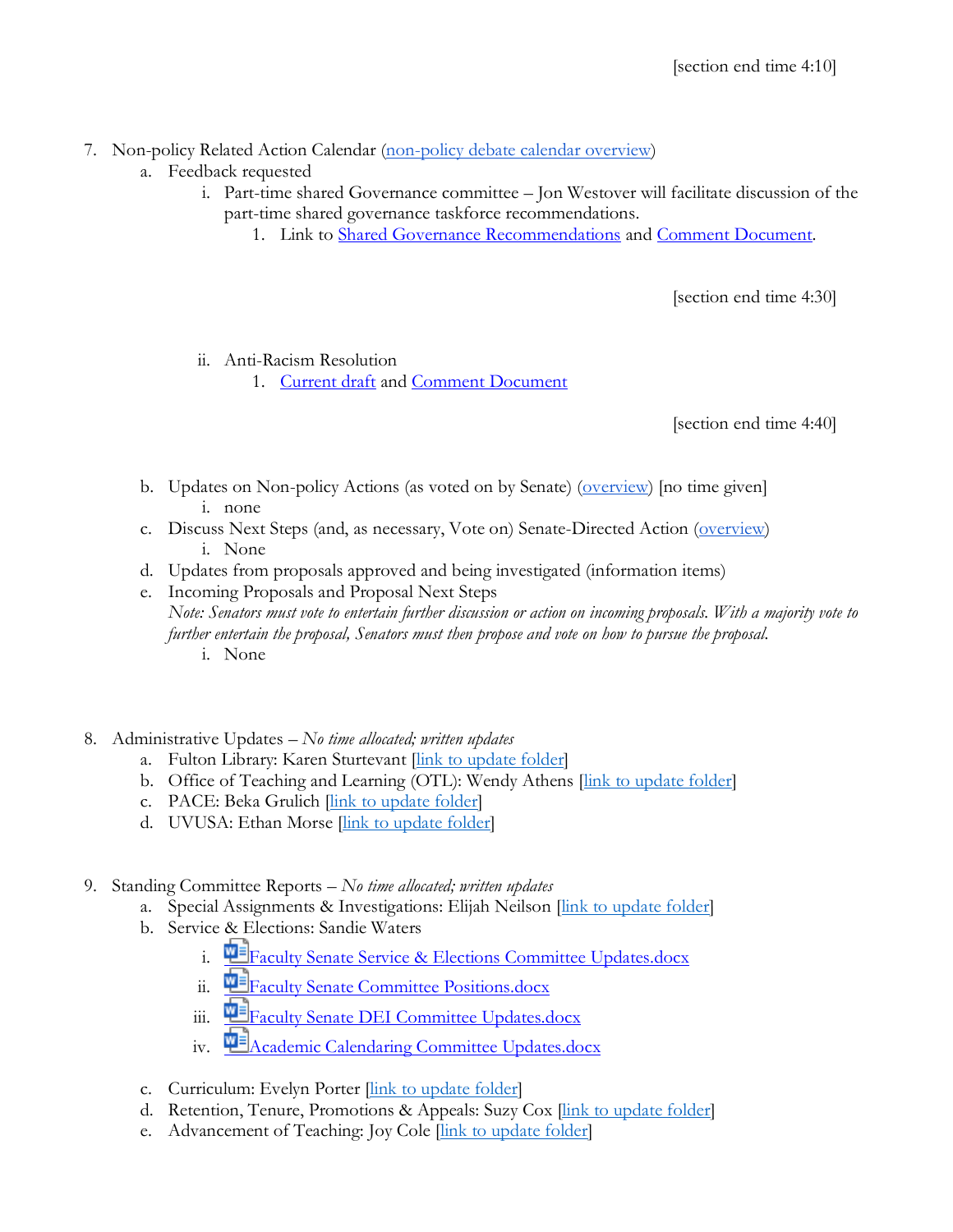- 7. Non-policy Related Action Calendar [\(non-policy debate calendar overview\)](https://docs.google.com/document/d/1zrPy0Fn9xcOhidd1XMgo1opj-lYb_9aTvLKg_NI1eLA/edit?usp=sharing)
	- a. Feedback requested
		- i. Part-time shared Governance committee Jon Westover will facilitate discussion of the part-time shared governance taskforce recommendations.
			- 1. Link to [Shared Governance Recommendations](https://tinyurl.com/3pw9v22z) and [Comment Document.](https://docs.google.com/document/d/1gn_wJ7DB--cJM2dLBTWF71NNVfZPuB_6O2IiTcImIPM/edit?usp=sharing)

[section end time 4:30]

ii. Anti-Racism Resolution

1. [Current draft](https://uvu365.sharepoint.com/:w:/s/Anti-Racismresolution/ESH4b1Afw7FKmQL1yTgr3fIBzEwqlKIN2lycsP8Zbq48Mw?e=gOtBjv) and [Comment Document](https://docs.google.com/document/d/1LwquwR3Lx0Svn_9OQnUhXjfRRmZGm6pHgnOf5l5AF6A/edit?usp=sharing)

[section end time 4:40]

- b. Updates on Non-policy Actions (as voted on by Senate) [\(overview\)](https://docs.google.com/document/d/1zrPy0Fn9xcOhidd1XMgo1opj-lYb_9aTvLKg_NI1eLA/edit#bookmark=id.20s1i57f673d) [no time given] i. none
- c. Discuss Next Steps (and, as necessary, Vote on) Senate-Directed Action [\(overview\)](https://docs.google.com/document/d/1zrPy0Fn9xcOhidd1XMgo1opj-lYb_9aTvLKg_NI1eLA/edit#bookmark=id.1turi862unvt) i. None
- d. Updates from proposals approved and being investigated (information items)
- e. Incoming Proposals and Proposal Next Steps *Note: Senators must vote to entertain further discussion or action on incoming proposals. With a majority vote to further entertain the proposal, Senators must then propose and vote on how to pursue the proposal.* i. None
- 8. Administrative Updates *– No time allocated; written updates*
	- a. Fulton Library: Karen Sturtevant *[\[link to update folder\]](https://drive.google.com/drive/folders/1CJZnOvFahmJJZJojR2XBd0U8PclC3aHK?usp=sharing)*
	- b. Office of Teaching and Learning (OTL): Wendy Athens [\[link to update folder\]](https://drive.google.com/drive/folders/1o5Tj_1mbe6qVJWyGFA9FNQMAx0zgjyM9?usp=sharing)
	- c. PACE: Beka Grulich [\[link to update folder\]](https://drive.google.com/drive/folders/1Ine7rBIg27FdgKErlcWF5p9Nx0tJNwok?usp=sharing)
	- d. UVUSA: Ethan Morse [link to [update folder\]](https://drive.google.com/drive/folders/1GXZgi4LTLaWWG5uZ1_7PXCZi9GB43BZm?usp=sharing)
- 9. Standing Committee Reports *– No time allocated; written updates*
	- a. Special Assignments & Investigations: Elijah Neilson [\[link to update folder\]](https://drive.google.com/drive/folders/1e9MbUhAQO28YnSWhseDbZv13PkR6mIFT?usp=sharing)
	- b. Service & Elections: Sandie Waters
		- i. **F**[Faculty Senate Service & Elections Committee Updates.docx](https://uvu365.sharepoint.com/:w:/s/ServiceElectionsChairs/EXxOn1zvCHVEgniRfP0Oi9cBT2zC99MFxAB3x2KHzQZ94g?e=mKuPuw&isSPOFile=1)
		- ii. [Faculty Senate Committee Positions.docx](https://uvu365.sharepoint.com/:w:/s/ServiceElectionsChairs/EbT5tySbhVJFm1LJ8jmH4_kBdIHgMC78fR-c32IeB5iPXg)
		- iii. **Finally Senate DEI Committee Updates.docx**
		- iv.  $\mathbf{Q}$   $\mathbf{A}$  Cademic Calendaring Committee Updates.docx
	- c. Curriculum: Evelyn Porter *[\[link to update folder\]](https://drive.google.com/drive/folders/1nmajpZEE1SMDuDUxH2TU1c5ZOMePqpNq?usp=sharing)*
	- d. Retention, Tenure, Promotions & Appeals: Suzy Cox [\[link to update folder\]](https://drive.google.com/drive/folders/1KmSYHGOTqmgMdsLWbR6Wbh4wp6LGxzaW?usp=sharing)
	- e. Advancement of Teaching: Joy Cole *[\[link to update folder\]](https://drive.google.com/drive/folders/1SLA6DXPFtJWfKXXMauqLOIJoudZjtJ0O?usp=sharing)*